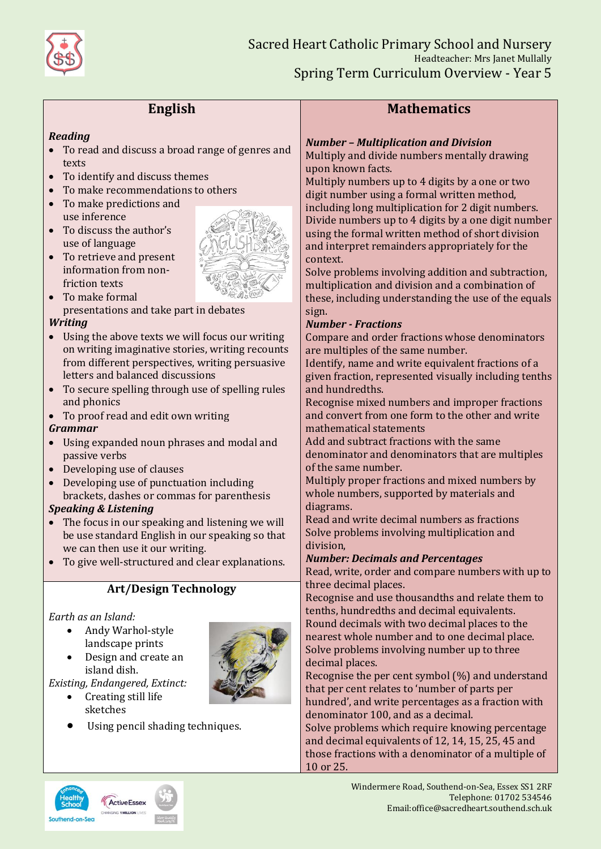

# **English**

#### *Reading*

- To read and discuss a broad range of genres and texts
- To identify and discuss themes
- To make recommendations to others
- To make predictions and use inference
- To discuss the author's use of language
- To retrieve and present information from nonfriction texts
- To make formal presentations and take part in debates

#### *Writing*

- Using the above texts we will focus our writing on writing imaginative stories, writing recounts from different perspectives, writing persuasive letters and balanced discussions
- To secure spelling through use of spelling rules and phonics
- To proof read and edit own writing

### *Grammar*

- Using expanded noun phrases and modal and passive verbs
- Developing use of clauses
- Developing use of punctuation including brackets, dashes or commas for parenthesis

### *Speaking & Listening*

- The focus in our speaking and listening we will be use standard English in our speaking so that we can then use it our writing.
- To give well-structured and clear explanations.

# **Art/Design Technology**

### *Earth as an Island:*

- Andy Warhol-style landscape prints
- Design and create an island dish.

*Existing, Endangered, Extinct:*

- Creating still life sketches
- Using pencil shading techniques.

# **Mathematics**

## *Number – Multiplication and Division*

Multiply and divide numbers mentally drawing upon known facts.

Multiply numbers up to 4 digits by a one or two digit number using a formal written method, including long multiplication for 2 digit numbers. Divide numbers up to 4 digits by a one digit number using the formal written method of short division and interpret remainders appropriately for the context.

Solve problems involving addition and subtraction, multiplication and division and a combination of these, including understanding the use of the equals sign.

#### *Number - Fractions*

Compare and order fractions whose denominators are multiples of the same number.

Identify, name and write equivalent fractions of a given fraction, represented visually including tenths and hundredths.

Recognise mixed numbers and improper fractions and convert from one form to the other and write mathematical statements

Add and subtract fractions with the same denominator and denominators that are multiples of the same number.

Multiply proper fractions and mixed numbers by whole numbers, supported by materials and diagrams.

Read and write decimal numbers as fractions Solve problems involving multiplication and division,

### *Number: Decimals and Percentages*

Read, write, order and compare numbers with up to three decimal places.

Recognise and use thousandths and relate them to tenths, hundredths and decimal equivalents. Round decimals with two decimal places to the nearest whole number and to one decimal place. Solve problems involving number up to three decimal places.

Recognise the per cent symbol (%) and understand that per cent relates to 'number of parts per hundred', and write percentages as a fraction with denominator 100, and as a decimal.

Solve problems which require knowing percentage and decimal equivalents of 12, 14, 15, 25, 45 and those fractions with a denominator of a multiple of 10 or 25.



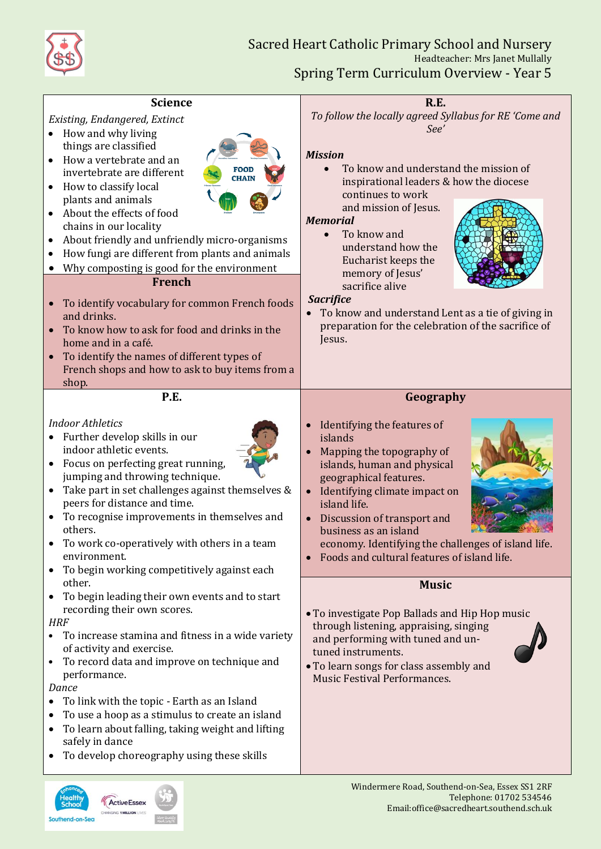

**ActiveEsset** 

Southend-on-Sea